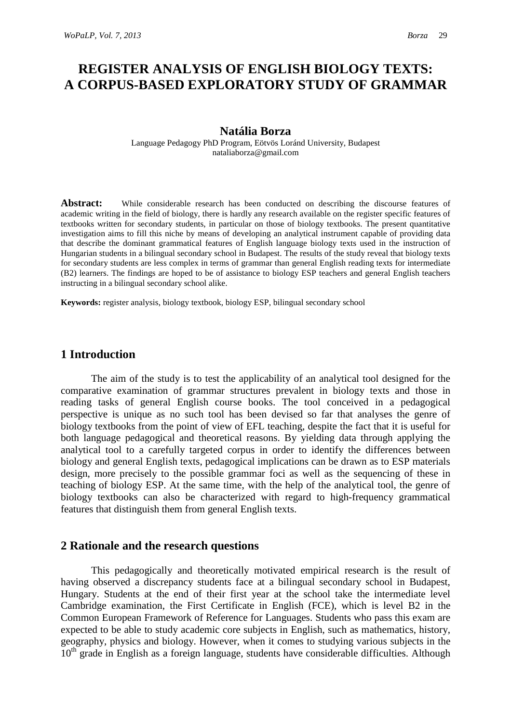# **REGISTER ANALYSIS OF ENGLISH BIOLOGY TEXTS: A CORPUS-BASED EXPLORATORY STUDY OF GRAMMAR**

#### **Natália Borza**

Language Pedagogy PhD Program, Eötvös Loránd University, Budapest nataliaborza@gmail.com

Abstract: While considerable research has been conducted on describing the discourse features of academic writing in the field of biology, there is hardly any research available on the register specific features of textbooks written for secondary students, in particular on those of biology textbooks. The present quantitative investigation aims to fill this niche by means of developing an analytical instrument capable of providing data that describe the dominant grammatical features of English language biology texts used in the instruction of Hungarian students in a bilingual secondary school in Budapest. The results of the study reveal that biology texts for secondary students are less complex in terms of grammar than general English reading texts for intermediate (B2) learners. The findings are hoped to be of assistance to biology ESP teachers and general English teachers instructing in a bilingual secondary school alike.

**Keywords:** register analysis, biology textbook, biology ESP, bilingual secondary school

## **1 Introduction**

The aim of the study is to test the applicability of an analytical tool designed for the comparative examination of grammar structures prevalent in biology texts and those in reading tasks of general English course books. The tool conceived in a pedagogical perspective is unique as no such tool has been devised so far that analyses the genre of biology textbooks from the point of view of EFL teaching, despite the fact that it is useful for both language pedagogical and theoretical reasons. By yielding data through applying the analytical tool to a carefully targeted corpus in order to identify the differences between biology and general English texts, pedagogical implications can be drawn as to ESP materials design, more precisely to the possible grammar foci as well as the sequencing of these in teaching of biology ESP. At the same time, with the help of the analytical tool, the genre of biology textbooks can also be characterized with regard to high-frequency grammatical features that distinguish them from general English texts.

#### **2 Rationale and the research questions**

This pedagogically and theoretically motivated empirical research is the result of having observed a discrepancy students face at a bilingual secondary school in Budapest, Hungary. Students at the end of their first year at the school take the intermediate level Cambridge examination, the First Certificate in English (FCE), which is level B2 in the Common European Framework of Reference for Languages. Students who pass this exam are expected to be able to study academic core subjects in English, such as mathematics, history, geography, physics and biology. However, when it comes to studying various subjects in the  $10<sup>th</sup>$  grade in English as a foreign language, students have considerable difficulties. Although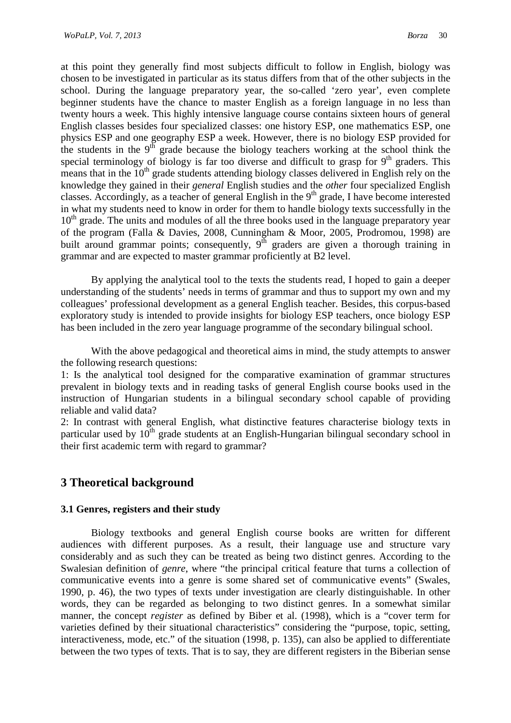at this point they generally find most subjects difficult to follow in English, biology was chosen to be investigated in particular as its status differs from that of the other subjects in the school. During the language preparatory year, the so-called 'zero year', even complete beginner students have the chance to master English as a foreign language in no less than twenty hours a week. This highly intensive language course contains sixteen hours of general English classes besides four specialized classes: one history ESP, one mathematics ESP, one physics ESP and one geography ESP a week. However, there is no biology ESP provided for the students in the  $9<sup>th</sup>$  grade because the biology teachers working at the school think the special terminology of biology is far too diverse and difficult to grasp for  $9<sup>th</sup>$  graders. This means that in the  $10<sup>th</sup>$  grade students attending biology classes delivered in English rely on the knowledge they gained in their *general* English studies and the *other* four specialized English classes. Accordingly, as a teacher of general English in the  $9<sup>th</sup>$  grade, I have become interested in what my students need to know in order for them to handle biology texts successfully in the  $10<sup>th</sup>$  grade. The units and modules of all the three books used in the language preparatory year of the program (Falla & Davies, 2008, Cunningham & Moor, 2005, Prodromou, 1998) are built around grammar points; consequently,  $9<sup>th</sup>$  graders are given a thorough training in grammar and are expected to master grammar proficiently at B2 level.

By applying the analytical tool to the texts the students read, I hoped to gain a deeper understanding of the students' needs in terms of grammar and thus to support my own and my colleagues' professional development as a general English teacher. Besides, this corpus-based exploratory study is intended to provide insights for biology ESP teachers, once biology ESP has been included in the zero year language programme of the secondary bilingual school.

With the above pedagogical and theoretical aims in mind, the study attempts to answer the following research questions:

1: Is the analytical tool designed for the comparative examination of grammar structures prevalent in biology texts and in reading tasks of general English course books used in the instruction of Hungarian students in a bilingual secondary school capable of providing reliable and valid data?

2: In contrast with general English, what distinctive features characterise biology texts in particular used by  $10^{th}$  grade students at an English-Hungarian bilingual secondary school in their first academic term with regard to grammar?

## **3 Theoretical background**

#### **3.1 Genres, registers and their study**

Biology textbooks and general English course books are written for different audiences with different purposes. As a result, their language use and structure vary considerably and as such they can be treated as being two distinct genres. According to the Swalesian definition of *genre*, where "the principal critical feature that turns a collection of communicative events into a genre is some shared set of communicative events" (Swales, 1990, p. 46), the two types of texts under investigation are clearly distinguishable. In other words, they can be regarded as belonging to two distinct genres. In a somewhat similar manner, the concept *register* as defined by Biber et al. (1998), which is a "cover term for varieties defined by their situational characteristics" considering the "purpose, topic, setting, interactiveness, mode, etc." of the situation (1998, p. 135), can also be applied to differentiate between the two types of texts. That is to say, they are different registers in the Biberian sense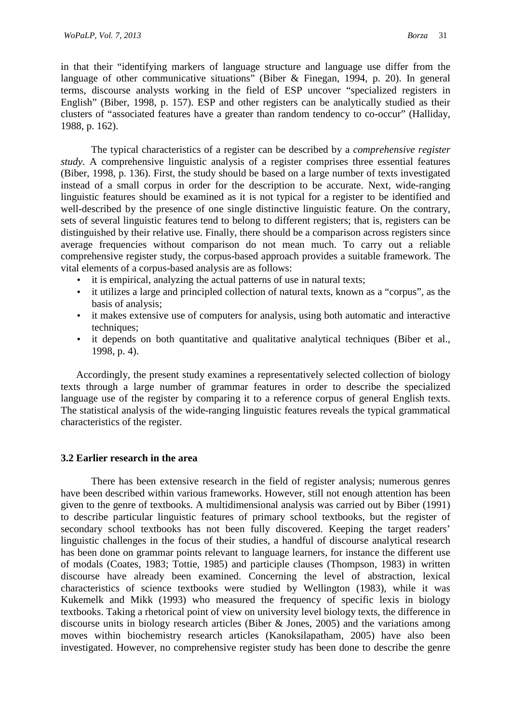in that their "identifying markers of language structure and language use differ from the language of other communicative situations" (Biber & Finegan, 1994, p. 20). In general terms, discourse analysts working in the field of ESP uncover "specialized registers in English" (Biber, 1998, p. 157). ESP and other registers can be analytically studied as their clusters of "associated features have a greater than random tendency to co-occur" (Halliday, 1988, p. 162).

The typical characteristics of a register can be described by a *comprehensive register study*. A comprehensive linguistic analysis of a register comprises three essential features (Biber, 1998, p. 136). First, the study should be based on a large number of texts investigated instead of a small corpus in order for the description to be accurate. Next, wide-ranging linguistic features should be examined as it is not typical for a register to be identified and well-described by the presence of one single distinctive linguistic feature. On the contrary, sets of several linguistic features tend to belong to different registers; that is, registers can be distinguished by their relative use. Finally, there should be a comparison across registers since average frequencies without comparison do not mean much. To carry out a reliable comprehensive register study, the corpus-based approach provides a suitable framework. The vital elements of a corpus-based analysis are as follows:

- it is empirical, analyzing the actual patterns of use in natural texts;
- it utilizes a large and principled collection of natural texts, known as a "corpus", as the basis of analysis;
- it makes extensive use of computers for analysis, using both automatic and interactive techniques;
- it depends on both quantitative and qualitative analytical techniques (Biber et al., 1998, p. 4).

Accordingly, the present study examines a representatively selected collection of biology texts through a large number of grammar features in order to describe the specialized language use of the register by comparing it to a reference corpus of general English texts. The statistical analysis of the wide-ranging linguistic features reveals the typical grammatical characteristics of the register.

## **3.2 Earlier research in the area**

There has been extensive research in the field of register analysis; numerous genres have been described within various frameworks. However, still not enough attention has been given to the genre of textbooks. A multidimensional analysis was carried out by Biber (1991) to describe particular linguistic features of primary school textbooks, but the register of secondary school textbooks has not been fully discovered. Keeping the target readers' linguistic challenges in the focus of their studies, a handful of discourse analytical research has been done on grammar points relevant to language learners, for instance the different use of modals (Coates, 1983; Tottie, 1985) and participle clauses (Thompson, 1983) in written discourse have already been examined. Concerning the level of abstraction, lexical characteristics of science textbooks were studied by Wellington (1983), while it was Kukemelk and Mikk (1993) who measured the frequency of specific lexis in biology textbooks. Taking a rhetorical point of view on university level biology texts, the difference in discourse units in biology research articles (Biber & Jones, 2005) and the variations among moves within biochemistry research articles (Kanoksilapatham, 2005) have also been investigated. However, no comprehensive register study has been done to describe the genre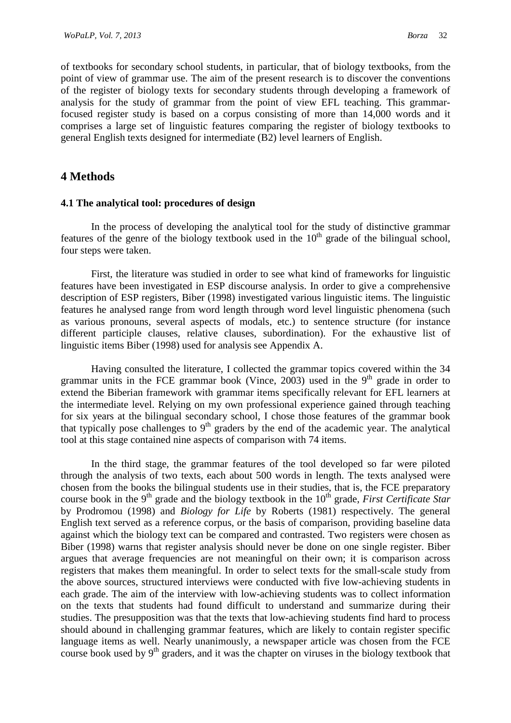of textbooks for secondary school students, in particular, that of biology textbooks, from the point of view of grammar use. The aim of the present research is to discover the conventions of the register of biology texts for secondary students through developing a framework of analysis for the study of grammar from the point of view EFL teaching. This grammarfocused register study is based on a corpus consisting of more than 14,000 words and it comprises a large set of linguistic features comparing the register of biology textbooks to general English texts designed for intermediate (B2) level learners of English.

## **4 Methods**

#### **4.1 The analytical tool: procedures of design**

In the process of developing the analytical tool for the study of distinctive grammar features of the genre of the biology textbook used in the  $10<sup>th</sup>$  grade of the bilingual school, four steps were taken.

First, the literature was studied in order to see what kind of frameworks for linguistic features have been investigated in ESP discourse analysis. In order to give a comprehensive description of ESP registers, Biber (1998) investigated various linguistic items. The linguistic features he analysed range from word length through word level linguistic phenomena (such as various pronouns, several aspects of modals, etc.) to sentence structure (for instance different participle clauses, relative clauses, subordination). For the exhaustive list of linguistic items Biber (1998) used for analysis see Appendix A.

Having consulted the literature, I collected the grammar topics covered within the 34 grammar units in the FCE grammar book (Vince, 2003) used in the  $9<sup>th</sup>$  grade in order to extend the Biberian framework with grammar items specifically relevant for EFL learners at the intermediate level. Relying on my own professional experience gained through teaching for six years at the bilingual secondary school, I chose those features of the grammar book that typically pose challenges to  $9<sup>th</sup>$  graders by the end of the academic year. The analytical tool at this stage contained nine aspects of comparison with 74 items.

In the third stage, the grammar features of the tool developed so far were piloted through the analysis of two texts, each about 500 words in length. The texts analysed were chosen from the books the bilingual students use in their studies, that is, the FCE preparatory course book in the 9<sup>th</sup> grade and the biology textbook in the 10<sup>th</sup> grade, *First Certificate Star* by Prodromou (1998) and *Biology for Life* by Roberts (1981) respectively. The general English text served as a reference corpus, or the basis of comparison, providing baseline data against which the biology text can be compared and contrasted. Two registers were chosen as Biber (1998) warns that register analysis should never be done on one single register. Biber argues that average frequencies are not meaningful on their own; it is comparison across registers that makes them meaningful. In order to select texts for the small-scale study from the above sources, structured interviews were conducted with five low-achieving students in each grade. The aim of the interview with low-achieving students was to collect information on the texts that students had found difficult to understand and summarize during their studies. The presupposition was that the texts that low-achieving students find hard to process should abound in challenging grammar features, which are likely to contain register specific language items as well. Nearly unanimously, a newspaper article was chosen from the FCE course book used by  $9<sup>th</sup>$  graders, and it was the chapter on viruses in the biology textbook that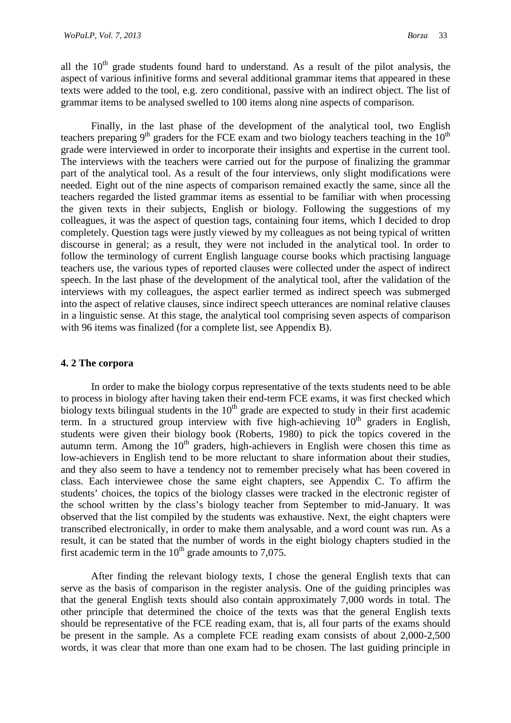all the  $10<sup>th</sup>$  grade students found hard to understand. As a result of the pilot analysis, the aspect of various infinitive forms and several additional grammar items that appeared in these texts were added to the tool, e.g. zero conditional, passive with an indirect object. The list of grammar items to be analysed swelled to 100 items along nine aspects of comparison.

Finally, in the last phase of the development of the analytical tool, two English teachers preparing  $9<sup>th</sup>$  graders for the FCE exam and two biology teachers teaching in the  $10<sup>th</sup>$ grade were interviewed in order to incorporate their insights and expertise in the current tool. The interviews with the teachers were carried out for the purpose of finalizing the grammar part of the analytical tool. As a result of the four interviews, only slight modifications were needed. Eight out of the nine aspects of comparison remained exactly the same, since all the teachers regarded the listed grammar items as essential to be familiar with when processing the given texts in their subjects, English or biology. Following the suggestions of my colleagues, it was the aspect of question tags, containing four items, which I decided to drop completely. Question tags were justly viewed by my colleagues as not being typical of written discourse in general; as a result, they were not included in the analytical tool. In order to follow the terminology of current English language course books which practising language teachers use, the various types of reported clauses were collected under the aspect of indirect speech. In the last phase of the development of the analytical tool, after the validation of the interviews with my colleagues, the aspect earlier termed as indirect speech was submerged into the aspect of relative clauses, since indirect speech utterances are nominal relative clauses in a linguistic sense. At this stage, the analytical tool comprising seven aspects of comparison with 96 items was finalized (for a complete list, see Appendix B).

## **4. 2 The corpora**

In order to make the biology corpus representative of the texts students need to be able to process in biology after having taken their end-term FCE exams, it was first checked which biology texts bilingual students in the  $10<sup>th</sup>$  grade are expected to study in their first academic term. In a structured group interview with five high-achieving  $10<sup>th</sup>$  graders in English, students were given their biology book (Roberts, 1980) to pick the topics covered in the autumn term. Among the  $10<sup>th</sup>$  graders, high-achievers in English were chosen this time as low-achievers in English tend to be more reluctant to share information about their studies, and they also seem to have a tendency not to remember precisely what has been covered in class. Each interviewee chose the same eight chapters, see Appendix C. To affirm the students' choices, the topics of the biology classes were tracked in the electronic register of the school written by the class's biology teacher from September to mid-January. It was observed that the list compiled by the students was exhaustive. Next, the eight chapters were transcribed electronically, in order to make them analysable, and a word count was run. As a result, it can be stated that the number of words in the eight biology chapters studied in the first academic term in the  $10^{th}$  grade amounts to 7,075.

After finding the relevant biology texts, I chose the general English texts that can serve as the basis of comparison in the register analysis. One of the guiding principles was that the general English texts should also contain approximately 7,000 words in total. The other principle that determined the choice of the texts was that the general English texts should be representative of the FCE reading exam, that is, all four parts of the exams should be present in the sample. As a complete FCE reading exam consists of about 2,000-2,500 words, it was clear that more than one exam had to be chosen. The last guiding principle in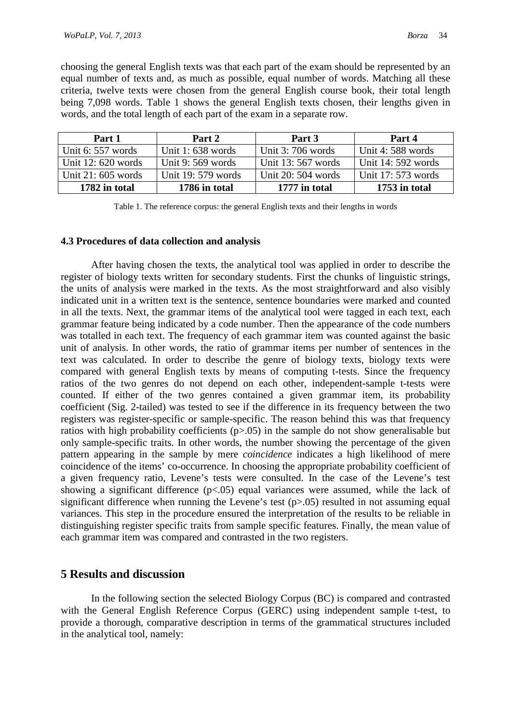choosing the general English texts was that each part of the exam should be represented by an equal number of texts and, as much as possible, equal number of words. Matching all these criteria, twelve texts were chosen from the general English course book, their total length being 7,098 words. Table 1 shows the general English texts chosen, their lengths given in words, and the total length of each part of the exam in a separate row.

| Part 1              | Part 2              | Part 3              | Part 4             |
|---------------------|---------------------|---------------------|--------------------|
| Unit 6: $557$ words | Unit 1: $638$ words | Unit 3: 706 words   | Unit 4: 588 words  |
| Unit $12:620$ words | Unit 9: $569$ words | Unit 13: 567 words  | Unit 14: 592 words |
| Unit $21:605$ words | Unit 19: 579 words  | Unit $20:504$ words | Unit 17: 573 words |
| 1782 in total       | 1786 in total       | 1777 in total       | 1753 in total      |

Table 1. The reference corpus: the general English texts and their lengths in words

#### **4.3 Procedures of data collection and analysis**

After having chosen the texts, the analytical tool was applied in order to describe the register of biology texts written for secondary students. First the chunks of linguistic strings, the units of analysis were marked in the texts. As the most straightforward and also visibly indicated unit in a written text is the sentence, sentence boundaries were marked and counted in all the texts. Next, the grammar items of the analytical tool were tagged in each text, each grammar feature being indicated by a code number. Then the appearance of the code numbers was totalled in each text. The frequency of each grammar item was counted against the basic unit of analysis. In other words, the ratio of grammar items per number of sentences in the text was calculated. In order to describe the genre of biology texts, biology texts were compared with general English texts by means of computing t-tests. Since the frequency ratios of the two genres do not depend on each other, independent-sample t-tests were counted. If either of the two genres contained a given grammar item, its probability coefficient (Sig. 2-tailed) was tested to see if the difference in its frequency between the two registers was register-specific or sample-specific. The reason behind this was that frequency ratios with high probability coefficients (p>.05) in the sample do not show generalisable but only sample-specific traits. In other words, the number showing the percentage of the given pattern appearing in the sample by mere *coincidence* indicates a high likelihood of mere coincidence of the items' co-occurrence. In choosing the appropriate probability coefficient of a given frequency ratio, Levene's tests were consulted. In the case of the Levene's test showing a significant difference  $(p<0.05)$  equal variances were assumed, while the lack of significant difference when running the Levene's test (p>.05) resulted in not assuming equal variances. This step in the procedure ensured the interpretation of the results to be reliable in distinguishing register specific traits from sample specific features. Finally, the mean value of each grammar item was compared and contrasted in the two registers.

## **5 Results and discussion**

In the following section the selected Biology Corpus (BC) is compared and contrasted with the General English Reference Corpus (GERC) using independent sample t-test, to provide a thorough, comparative description in terms of the grammatical structures included in the analytical tool, namely: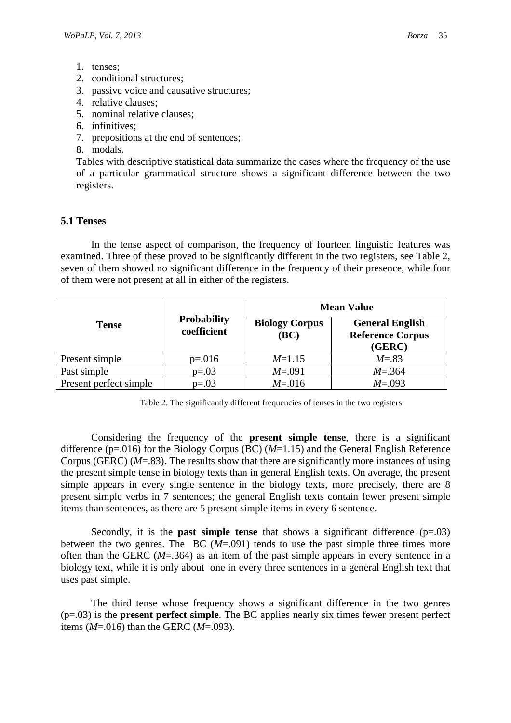- 1. tenses;
- 2. conditional structures;
- 3. passive voice and causative structures;
- 4. relative clauses;
- 5. nominal relative clauses;
- 6. infinitives;
- 7. prepositions at the end of sentences;
- 8. modals.

Tables with descriptive statistical data summarize the cases where the frequency of the use of a particular grammatical structure shows a significant difference between the two registers.

## **5.1 Tenses**

In the tense aspect of comparison, the frequency of fourteen linguistic features was examined. Three of these proved to be significantly different in the two registers, see Table 2, seven of them showed no significant difference in the frequency of their presence, while four of them were not present at all in either of the registers.

| <b>Tense</b>           | <b>Probability</b><br>coefficient | <b>Mean Value</b>             |                                                             |
|------------------------|-----------------------------------|-------------------------------|-------------------------------------------------------------|
|                        |                                   | <b>Biology Corpus</b><br>(BC) | <b>General English</b><br><b>Reference Corpus</b><br>(GERC) |
| Present simple         | $p=.016$                          | $M=1.15$                      | $M = .83$                                                   |
| Past simple            | $p = .03$                         | $M = .091$                    | $M = 364$                                                   |
| Present perfect simple | $p = 0.03$                        | $M = 016$                     | $M = .093$                                                  |

Table 2. The significantly different frequencies of tenses in the two registers

Considering the frequency of the **present simple tense**, there is a significant difference (p=.016) for the Biology Corpus (BC) (*M*=1.15) and the General English Reference Corpus (GERC) (*M*=.83). The results show that there are significantly more instances of using the present simple tense in biology texts than in general English texts. On average, the present simple appears in every single sentence in the biology texts, more precisely, there are 8 present simple verbs in 7 sentences; the general English texts contain fewer present simple items than sentences, as there are 5 present simple items in every 6 sentence.

Secondly, it is the **past simple tense** that shows a significant difference (p=.03) between the two genres. The BC (*M*=.091) tends to use the past simple three times more often than the GERC (*M*=.364) as an item of the past simple appears in every sentence in a biology text, while it is only about one in every three sentences in a general English text that uses past simple.

The third tense whose frequency shows a significant difference in the two genres (p=.03) is the **present perfect simple**. The BC applies nearly six times fewer present perfect items  $(M=016)$  than the GERC  $(M=093)$ .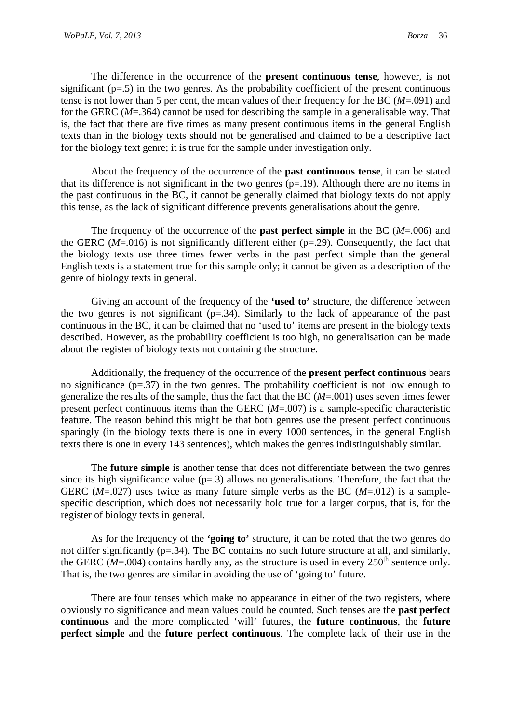The difference in the occurrence of the **present continuous tense**, however, is not significant  $(p=.5)$  in the two genres. As the probability coefficient of the present continuous tense is not lower than 5 per cent, the mean values of their frequency for the BC (*M*=.091) and for the GERC (*M*=.364) cannot be used for describing the sample in a generalisable way. That is, the fact that there are five times as many present continuous items in the general English texts than in the biology texts should not be generalised and claimed to be a descriptive fact for the biology text genre; it is true for the sample under investigation only.

About the frequency of the occurrence of the **past continuous tense**, it can be stated that its difference is not significant in the two genres  $(p=19)$ . Although there are no items in the past continuous in the BC, it cannot be generally claimed that biology texts do not apply this tense, as the lack of significant difference prevents generalisations about the genre.

The frequency of the occurrence of the **past perfect simple** in the BC (*M*=.006) and the GERC  $(M=0.016)$  is not significantly different either  $(p=.29)$ . Consequently, the fact that the biology texts use three times fewer verbs in the past perfect simple than the general English texts is a statement true for this sample only; it cannot be given as a description of the genre of biology texts in general.

Giving an account of the frequency of the **'used to'** structure, the difference between the two genres is not significant  $(p=.34)$ . Similarly to the lack of appearance of the past continuous in the BC, it can be claimed that no 'used to' items are present in the biology texts described. However, as the probability coefficient is too high, no generalisation can be made about the register of biology texts not containing the structure.

Additionally, the frequency of the occurrence of the **present perfect continuous** bears no significance (p=.37) in the two genres. The probability coefficient is not low enough to generalize the results of the sample, thus the fact that the BC (*M*=.001) uses seven times fewer present perfect continuous items than the GERC (*M*=.007) is a sample-specific characteristic feature. The reason behind this might be that both genres use the present perfect continuous sparingly (in the biology texts there is one in every 1000 sentences, in the general English texts there is one in every 143 sentences), which makes the genres indistinguishably similar.

The **future simple** is another tense that does not differentiate between the two genres since its high significance value  $(p=3)$  allows no generalisations. Therefore, the fact that the GERC  $(M=027)$  uses twice as many future simple verbs as the BC  $(M=012)$  is a samplespecific description, which does not necessarily hold true for a larger corpus, that is, for the register of biology texts in general.

As for the frequency of the **'going to'** structure, it can be noted that the two genres do not differ significantly (p=.34). The BC contains no such future structure at all, and similarly, the GERC ( $M = .004$ ) contains hardly any, as the structure is used in every 250<sup>th</sup> sentence only. That is, the two genres are similar in avoiding the use of 'going to' future.

There are four tenses which make no appearance in either of the two registers, where obviously no significance and mean values could be counted. Such tenses are the **past perfect continuous** and the more complicated 'will' futures, the **future continuous**, the **future perfect simple** and the **future perfect continuous**. The complete lack of their use in the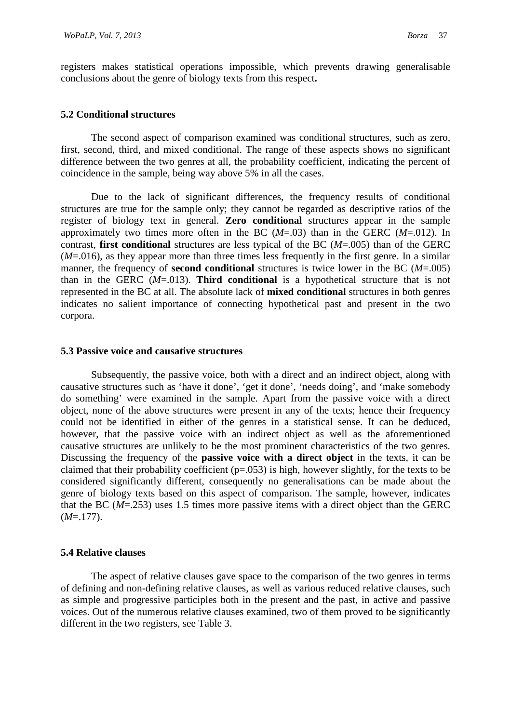registers makes statistical operations impossible, which prevents drawing generalisable conclusions about the genre of biology texts from this respect**.** 

#### **5.2 Conditional structures**

The second aspect of comparison examined was conditional structures, such as zero, first, second, third, and mixed conditional. The range of these aspects shows no significant difference between the two genres at all, the probability coefficient, indicating the percent of coincidence in the sample, being way above 5% in all the cases.

Due to the lack of significant differences, the frequency results of conditional structures are true for the sample only; they cannot be regarded as descriptive ratios of the register of biology text in general. **Zero conditional** structures appear in the sample approximately two times more often in the BC (*M*=.03) than in the GERC (*M*=.012). In contrast, **first conditional** structures are less typical of the BC (*M*=.005) than of the GERC (*M*=.016), as they appear more than three times less frequently in the first genre. In a similar manner, the frequency of **second conditional** structures is twice lower in the BC (*M*=.005) than in the GERC (*M*=.013). **Third conditional** is a hypothetical structure that is not represented in the BC at all. The absolute lack of **mixed conditional** structures in both genres indicates no salient importance of connecting hypothetical past and present in the two corpora.

#### **5.3 Passive voice and causative structures**

Subsequently, the passive voice, both with a direct and an indirect object, along with causative structures such as 'have it done', 'get it done', 'needs doing', and 'make somebody do something' were examined in the sample. Apart from the passive voice with a direct object, none of the above structures were present in any of the texts; hence their frequency could not be identified in either of the genres in a statistical sense. It can be deduced, however, that the passive voice with an indirect object as well as the aforementioned causative structures are unlikely to be the most prominent characteristics of the two genres. Discussing the frequency of the **passive voice with a direct object** in the texts, it can be claimed that their probability coefficient  $(p=.053)$  is high, however slightly, for the texts to be considered significantly different, consequently no generalisations can be made about the genre of biology texts based on this aspect of comparison. The sample, however, indicates that the BC (*M*=.253) uses 1.5 times more passive items with a direct object than the GERC (*M*=.177).

#### **5.4 Relative clauses**

The aspect of relative clauses gave space to the comparison of the two genres in terms of defining and non-defining relative clauses, as well as various reduced relative clauses, such as simple and progressive participles both in the present and the past, in active and passive voices. Out of the numerous relative clauses examined, two of them proved to be significantly different in the two registers, see Table 3.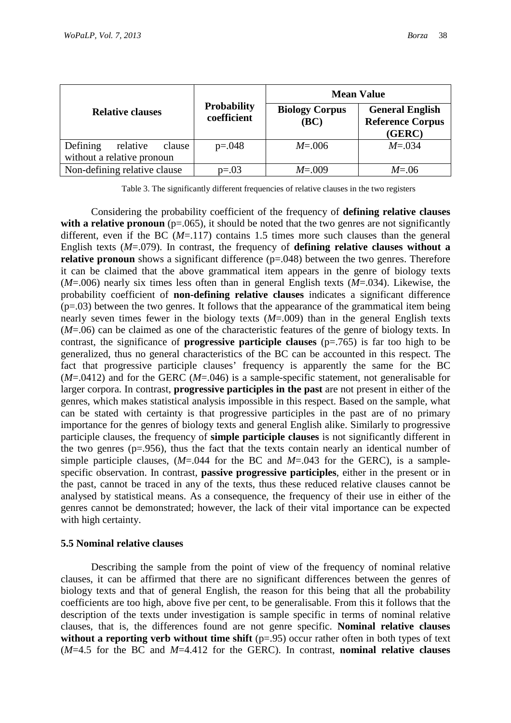|                                                              | <b>Probability</b><br>coefficient | <b>Mean Value</b>             |                                                             |
|--------------------------------------------------------------|-----------------------------------|-------------------------------|-------------------------------------------------------------|
| <b>Relative clauses</b>                                      |                                   | <b>Biology Corpus</b><br>(BC) | <b>General English</b><br><b>Reference Corpus</b><br>(GERC) |
| Defining<br>relative<br>clause<br>without a relative pronoun | $p=.048$                          | $M = 0.006$                   | $M = 0.034$                                                 |
| Non-defining relative clause                                 | $p=.03$                           | $M = .009$                    | $M = .06$                                                   |

Table 3. The significantly different frequencies of relative clauses in the two registers

Considering the probability coefficient of the frequency of **defining relative clauses**  with a relative pronoun  $(p=0.065)$ , it should be noted that the two genres are not significantly different, even if the BC  $(M=117)$  contains 1.5 times more such clauses than the general English texts (*M*=.079). In contrast, the frequency of **defining relative clauses without a relative pronoun** shows a significant difference (p=.048) between the two genres. Therefore it can be claimed that the above grammatical item appears in the genre of biology texts (*M*=.006) nearly six times less often than in general English texts (*M*=.034). Likewise, the probability coefficient of **non-defining relative clauses** indicates a significant difference  $(p=.03)$  between the two genres. It follows that the appearance of the grammatical item being nearly seven times fewer in the biology texts (*M*=.009) than in the general English texts (*M*=.06) can be claimed as one of the characteristic features of the genre of biology texts. In contrast, the significance of **progressive participle clauses** (p=.765) is far too high to be generalized, thus no general characteristics of the BC can be accounted in this respect. The fact that progressive participle clauses' frequency is apparently the same for the BC (*M*=.0412) and for the GERC (*M*=.046) is a sample-specific statement, not generalisable for larger corpora. In contrast, **progressive participles in the past** are not present in either of the genres, which makes statistical analysis impossible in this respect. Based on the sample, what can be stated with certainty is that progressive participles in the past are of no primary importance for the genres of biology texts and general English alike. Similarly to progressive participle clauses, the frequency of **simple participle clauses** is not significantly different in the two genres (p=.956), thus the fact that the texts contain nearly an identical number of simple participle clauses,  $(M=0.044$  for the BC and  $M=0.043$  for the GERC), is a samplespecific observation. In contrast, **passive progressive participles**, either in the present or in the past, cannot be traced in any of the texts, thus these reduced relative clauses cannot be analysed by statistical means. As a consequence, the frequency of their use in either of the genres cannot be demonstrated; however, the lack of their vital importance can be expected with high certainty.

## **5.5 Nominal relative clauses**

Describing the sample from the point of view of the frequency of nominal relative clauses, it can be affirmed that there are no significant differences between the genres of biology texts and that of general English, the reason for this being that all the probability coefficients are too high, above five per cent, to be generalisable. From this it follows that the description of the texts under investigation is sample specific in terms of nominal relative clauses, that is, the differences found are not genre specific. **Nominal relative clauses**  without a reporting verb without time shift  $(p=.95)$  occur rather often in both types of text (*M*=4.5 for the BC and *M*=4.412 for the GERC). In contrast, **nominal relative clauses**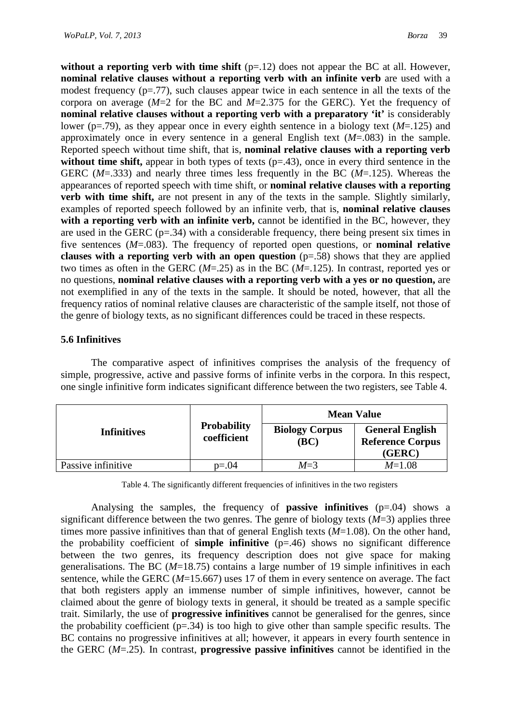without a reporting verb with time shift  $(p=12)$  does not appear the BC at all. However, **nominal relative clauses without a reporting verb with an infinite verb** are used with a modest frequency (p=.77), such clauses appear twice in each sentence in all the texts of the corpora on average (*M*=2 for the BC and *M*=2.375 for the GERC). Yet the frequency of **nominal relative clauses without a reporting verb with a preparatory 'it'** is considerably lower (p=.79), as they appear once in every eighth sentence in a biology text (*M*=.125) and approximately once in every sentence in a general English text (*M*=.083) in the sample. Reported speech without time shift, that is, **nominal relative clauses with a reporting verb**  without time shift, appear in both types of texts (p=.43), once in every third sentence in the GERC (*M*=.333) and nearly three times less frequently in the BC (*M*=.125). Whereas the appearances of reported speech with time shift, or **nominal relative clauses with a reporting verb with time shift,** are not present in any of the texts in the sample. Slightly similarly, examples of reported speech followed by an infinite verb, that is, **nominal relative clauses**  with a reporting verb with an infinite verb, cannot be identified in the BC, however, they are used in the GERC  $(p=.34)$  with a considerable frequency, there being present six times in five sentences (*M*=.083). The frequency of reported open questions, or **nominal relative clauses with a reporting verb with an open question** (p=.58) shows that they are applied two times as often in the GERC (*M*=.25) as in the BC (*M*=.125). In contrast, reported yes or no questions, **nominal relative clauses with a reporting verb with a yes or no question,** are not exemplified in any of the texts in the sample. It should be noted, however, that all the frequency ratios of nominal relative clauses are characteristic of the sample itself, not those of the genre of biology texts, as no significant differences could be traced in these respects.

## **5.6 Infinitives**

The comparative aspect of infinitives comprises the analysis of the frequency of simple, progressive, active and passive forms of infinite verbs in the corpora. In this respect, one single infinitive form indicates significant difference between the two registers, see Table 4.

| <b>Infinitives</b> | <b>Probability</b><br>coefficient | <b>Mean Value</b>             |                                                             |
|--------------------|-----------------------------------|-------------------------------|-------------------------------------------------------------|
|                    |                                   | <b>Biology Corpus</b><br>(BC) | <b>General English</b><br><b>Reference Corpus</b><br>(GERC) |
| Passive infinitive | p=.04                             | $M = 3$                       | $M=1.08$                                                    |

Table 4. The significantly different frequencies of infinitives in the two registers

Analysing the samples, the frequency of **passive infinitives** (p=.04) shows a significant difference between the two genres. The genre of biology texts  $(M=3)$  applies three times more passive infinitives than that of general English texts (*M*=1.08). On the other hand, the probability coefficient of **simple infinitive**  $(p=0.46)$  shows no significant difference between the two genres, its frequency description does not give space for making generalisations. The BC (*M*=18.75) contains a large number of 19 simple infinitives in each sentence, while the GERC (*M*=15.667) uses 17 of them in every sentence on average. The fact that both registers apply an immense number of simple infinitives, however, cannot be claimed about the genre of biology texts in general, it should be treated as a sample specific trait. Similarly, the use of **progressive infinitives** cannot be generalised for the genres, since the probability coefficient  $(p=0.34)$  is too high to give other than sample specific results. The BC contains no progressive infinitives at all; however, it appears in every fourth sentence in the GERC (*M*=.25). In contrast, **progressive passive infinitives** cannot be identified in the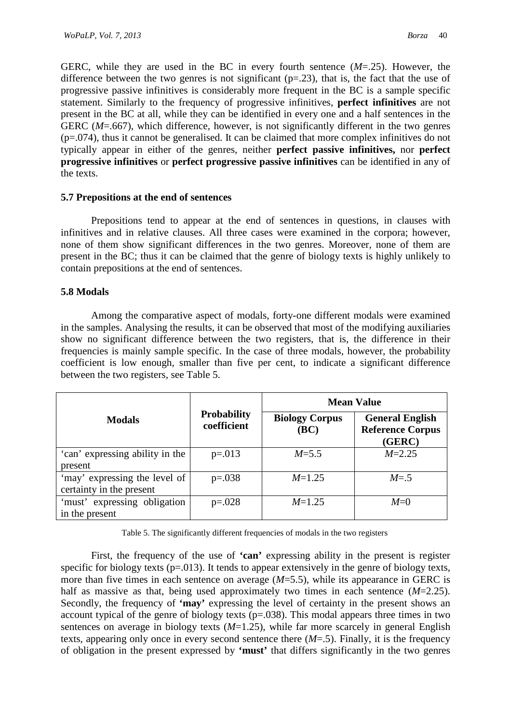GERC, while they are used in the BC in every fourth sentence (*M*=.25). However, the difference between the two genres is not significant  $(p=0.23)$ , that is, the fact that the use of progressive passive infinitives is considerably more frequent in the BC is a sample specific statement. Similarly to the frequency of progressive infinitives, **perfect infinitives** are not present in the BC at all, while they can be identified in every one and a half sentences in the GERC (*M*=.667), which difference, however, is not significantly different in the two genres  $(p=0.074)$ , thus it cannot be generalised. It can be claimed that more complex infinitives do not typically appear in either of the genres, neither **perfect passive infinitives,** nor **perfect progressive infinitives** or **perfect progressive passive infinitives** can be identified in any of the texts.

## **5.7 Prepositions at the end of sentences**

Prepositions tend to appear at the end of sentences in questions, in clauses with infinitives and in relative clauses. All three cases were examined in the corpora; however, none of them show significant differences in the two genres. Moreover, none of them are present in the BC; thus it can be claimed that the genre of biology texts is highly unlikely to contain prepositions at the end of sentences.

## **5.8 Modals**

Among the comparative aspect of modals, forty-one different modals were examined in the samples. Analysing the results, it can be observed that most of the modifying auxiliaries show no significant difference between the two registers, that is, the difference in their frequencies is mainly sample specific. In the case of three modals, however, the probability coefficient is low enough, smaller than five per cent, to indicate a significant difference between the two registers, see Table 5.

|                                                           | <b>Probability</b><br>coefficient | <b>Mean Value</b>             |                                                             |
|-----------------------------------------------------------|-----------------------------------|-------------------------------|-------------------------------------------------------------|
| <b>Modals</b>                                             |                                   | <b>Biology Corpus</b><br>(BC) | <b>General English</b><br><b>Reference Corpus</b><br>(GERC) |
| 'can' expressing ability in the                           | $p=.013$                          | $M = 5.5$                     | $M = 2.25$                                                  |
| present                                                   |                                   |                               |                                                             |
| 'may' expressing the level of<br>certainty in the present | $p=.038$                          | $M=1.25$                      | $M = 5$                                                     |
| 'must' expressing obligation<br>in the present            | $p=.028$                          | $M=1.25$                      | $M=0$                                                       |

Table 5. The significantly different frequencies of modals in the two registers

First, the frequency of the use of **'can'** expressing ability in the present is register specific for biology texts  $(p=.013)$ . It tends to appear extensively in the genre of biology texts, more than five times in each sentence on average (*M*=5.5), while its appearance in GERC is half as massive as that, being used approximately two times in each sentence (*M*=2.25). Secondly, the frequency of **'may'** expressing the level of certainty in the present shows an account typical of the genre of biology texts ( $p=.038$ ). This modal appears three times in two sentences on average in biology texts (*M*=1.25), while far more scarcely in general English texts, appearing only once in every second sentence there (*M*=.5). Finally, it is the frequency of obligation in the present expressed by **'must'** that differs significantly in the two genres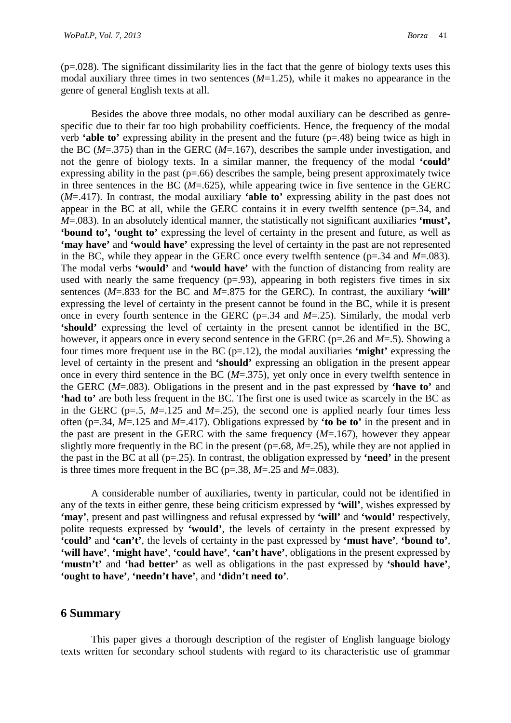$(p=.028)$ . The significant dissimilarity lies in the fact that the genre of biology texts uses this modal auxiliary three times in two sentences (*M*=1.25), while it makes no appearance in the genre of general English texts at all.

Besides the above three modals, no other modal auxiliary can be described as genrespecific due to their far too high probability coefficients. Hence, the frequency of the modal verb **'able to'** expressing ability in the present and the future (p=.48) being twice as high in the BC (*M*=.375) than in the GERC (*M*=.167), describes the sample under investigation, and not the genre of biology texts. In a similar manner, the frequency of the modal **'could'** expressing ability in the past  $(p=.66)$  describes the sample, being present approximately twice in three sentences in the BC (*M*=.625), while appearing twice in five sentence in the GERC (*M*=.417). In contrast, the modal auxiliary **'able to'** expressing ability in the past does not appear in the BC at all, while the GERC contains it in every twelfth sentence  $(p=0.34, and)$ *M*=.083). In an absolutely identical manner, the statistically not significant auxiliaries **'must'**, **'bound to', 'ought to'** expressing the level of certainty in the present and future*,* as well as **'may have'** and **'would have'** expressing the level of certainty in the past are not represented in the BC, while they appear in the GERC once every twelfth sentence (p=.34 and *M*=.083). The modal verbs **'would'** and **'would have'** with the function of distancing from reality are used with nearly the same frequency  $(p=.93)$ , appearing in both registers five times in six sentences (*M*=.833 for the BC and *M*=.875 for the GERC). In contrast, the auxiliary **'will'** expressing the level of certainty in the present cannot be found in the BC, while it is present once in every fourth sentence in the GERC ( $p=.34$  and  $M=.25$ ). Similarly, the modal verb **'should'** expressing the level of certainty in the present cannot be identified in the BC, however, it appears once in every second sentence in the GERC (p=.26 and *M*=.5). Showing a four times more frequent use in the BC (p=.12), the modal auxiliaries **'might'** expressing the level of certainty in the present and **'should'** expressing an obligation in the present appear once in every third sentence in the BC (*M*=.375), yet only once in every twelfth sentence in the GERC (*M*=.083). Obligations in the present and in the past expressed by **'have to'** and **'had to'** are both less frequent in the BC. The first one is used twice as scarcely in the BC as in the GERC ( $p=.5$ ,  $M=.125$  and  $M=.25$ ), the second one is applied nearly four times less often (p=.34, *M*=.125 and *M*=.417). Obligations expressed by **'to be to'** in the present and in the past are present in the GERC with the same frequency (*M*=.167), however they appear slightly more frequently in the BC in the present (p=.68, *M*=.25), while they are not applied in the past in the BC at all (p=.25). In contrast, the obligation expressed by **'need'** in the present is three times more frequent in the BC (p=.38, *M*=.25 and *M*=.083).

A considerable number of auxiliaries, twenty in particular, could not be identified in any of the texts in either genre, these being criticism expressed by **'will'***,* wishes expressed by **'may'**, present and past willingness and refusal expressed by **'will'** and **'would'** respectively, polite requests expressed by **'would'**, the levels of certainty in the present expressed by **'could'** and **'can't'**, the levels of certainty in the past expressed by **'must have'***,* **'bound to'***,*  **'will have'***,* **'might have'***,* **'could have'***,* **'can't have'**, obligations in the present expressed by **'mustn't'** and **'had better'** as well as obligations in the past expressed by **'should have'***,*  **'ought to have'***,* **'needn't have'**, and **'didn't need to'**.

## **6 Summary**

This paper gives a thorough description of the register of English language biology texts written for secondary school students with regard to its characteristic use of grammar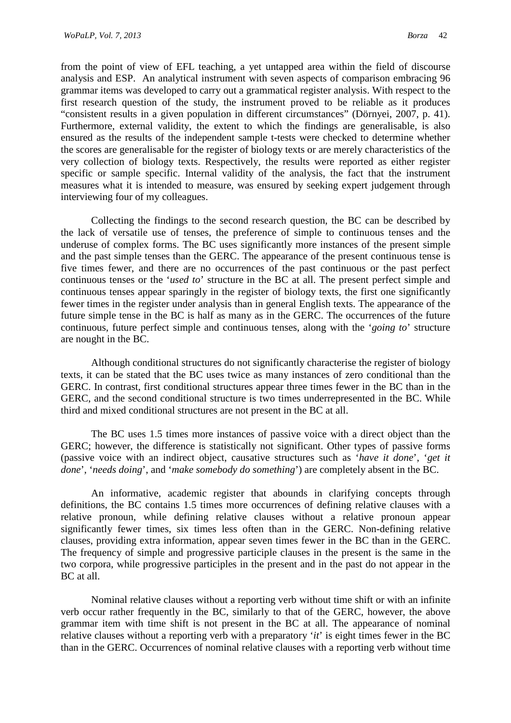from the point of view of EFL teaching, a yet untapped area within the field of discourse analysis and ESP. An analytical instrument with seven aspects of comparison embracing 96 grammar items was developed to carry out a grammatical register analysis. With respect to the first research question of the study, the instrument proved to be reliable as it produces "consistent results in a given population in different circumstances" (Dörnyei, 2007, p. 41). Furthermore, external validity, the extent to which the findings are generalisable, is also ensured as the results of the independent sample t-tests were checked to determine whether the scores are generalisable for the register of biology texts or are merely characteristics of the very collection of biology texts. Respectively, the results were reported as either register specific or sample specific. Internal validity of the analysis, the fact that the instrument measures what it is intended to measure, was ensured by seeking expert judgement through interviewing four of my colleagues.

Collecting the findings to the second research question, the BC can be described by the lack of versatile use of tenses, the preference of simple to continuous tenses and the underuse of complex forms. The BC uses significantly more instances of the present simple and the past simple tenses than the GERC. The appearance of the present continuous tense is five times fewer, and there are no occurrences of the past continuous or the past perfect continuous tenses or the '*used to*' structure in the BC at all. The present perfect simple and continuous tenses appear sparingly in the register of biology texts, the first one significantly fewer times in the register under analysis than in general English texts. The appearance of the future simple tense in the BC is half as many as in the GERC. The occurrences of the future continuous, future perfect simple and continuous tenses, along with the '*going to*' structure are nought in the BC.

 Although conditional structures do not significantly characterise the register of biology texts, it can be stated that the BC uses twice as many instances of zero conditional than the GERC. In contrast, first conditional structures appear three times fewer in the BC than in the GERC, and the second conditional structure is two times underrepresented in the BC. While third and mixed conditional structures are not present in the BC at all.

 The BC uses 1.5 times more instances of passive voice with a direct object than the GERC; however, the difference is statistically not significant. Other types of passive forms (passive voice with an indirect object, causative structures such as '*have it done*', '*get it done*', '*needs doing*', and '*make somebody do something*') are completely absent in the BC.

 An informative, academic register that abounds in clarifying concepts through definitions, the BC contains 1.5 times more occurrences of defining relative clauses with a relative pronoun, while defining relative clauses without a relative pronoun appear significantly fewer times, six times less often than in the GERC. Non-defining relative clauses, providing extra information, appear seven times fewer in the BC than in the GERC. The frequency of simple and progressive participle clauses in the present is the same in the two corpora, while progressive participles in the present and in the past do not appear in the BC at all.

 Nominal relative clauses without a reporting verb without time shift or with an infinite verb occur rather frequently in the BC, similarly to that of the GERC, however, the above grammar item with time shift is not present in the BC at all. The appearance of nominal relative clauses without a reporting verb with a preparatory '*it*' is eight times fewer in the BC than in the GERC. Occurrences of nominal relative clauses with a reporting verb without time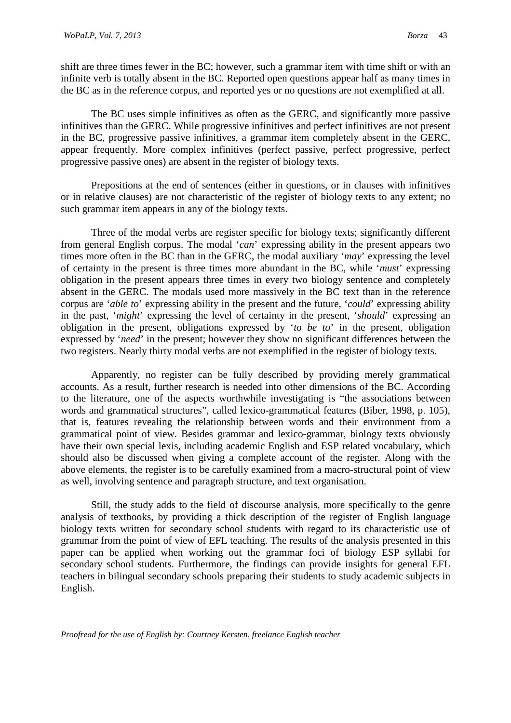shift are three times fewer in the BC; however, such a grammar item with time shift or with an infinite verb is totally absent in the BC. Reported open questions appear half as many times in the BC as in the reference corpus, and reported yes or no questions are not exemplified at all.

 The BC uses simple infinitives as often as the GERC, and significantly more passive infinitives than the GERC. While progressive infinitives and perfect infinitives are not present in the BC, progressive passive infinitives, a grammar item completely absent in the GERC, appear frequently. More complex infinitives (perfect passive, perfect progressive, perfect progressive passive ones) are absent in the register of biology texts.

 Prepositions at the end of sentences (either in questions, or in clauses with infinitives or in relative clauses) are not characteristic of the register of biology texts to any extent; no such grammar item appears in any of the biology texts.

 Three of the modal verbs are register specific for biology texts; significantly different from general English corpus. The modal '*can*' expressing ability in the present appears two times more often in the BC than in the GERC, the modal auxiliary '*may*' expressing the level of certainty in the present is three times more abundant in the BC, while '*must*' expressing obligation in the present appears three times in every two biology sentence and completely absent in the GERC. The modals used more massively in the BC text than in the reference corpus are '*able to*' expressing ability in the present and the future, '*could*' expressing ability in the past, '*might*' expressing the level of certainty in the present, '*should*' expressing an obligation in the present, obligations expressed by '*to be to*' in the present, obligation expressed by '*need*' in the present; however they show no significant differences between the two registers. Nearly thirty modal verbs are not exemplified in the register of biology texts.

Apparently, no register can be fully described by providing merely grammatical accounts. As a result, further research is needed into other dimensions of the BC. According to the literature, one of the aspects worthwhile investigating is "the associations between words and grammatical structures", called lexico-grammatical features (Biber, 1998, p. 105), that is, features revealing the relationship between words and their environment from a grammatical point of view. Besides grammar and lexico-grammar, biology texts obviously have their own special lexis, including academic English and ESP related vocabulary, which should also be discussed when giving a complete account of the register. Along with the above elements, the register is to be carefully examined from a macro-structural point of view as well, involving sentence and paragraph structure, and text organisation.

Still, the study adds to the field of discourse analysis, more specifically to the genre analysis of textbooks, by providing a thick description of the register of English language biology texts written for secondary school students with regard to its characteristic use of grammar from the point of view of EFL teaching. The results of the analysis presented in this paper can be applied when working out the grammar foci of biology ESP syllabi for secondary school students. Furthermore, the findings can provide insights for general EFL teachers in bilingual secondary schools preparing their students to study academic subjects in English.

*Proofread for the use of English by: Courtney Kersten, freelance English teacher*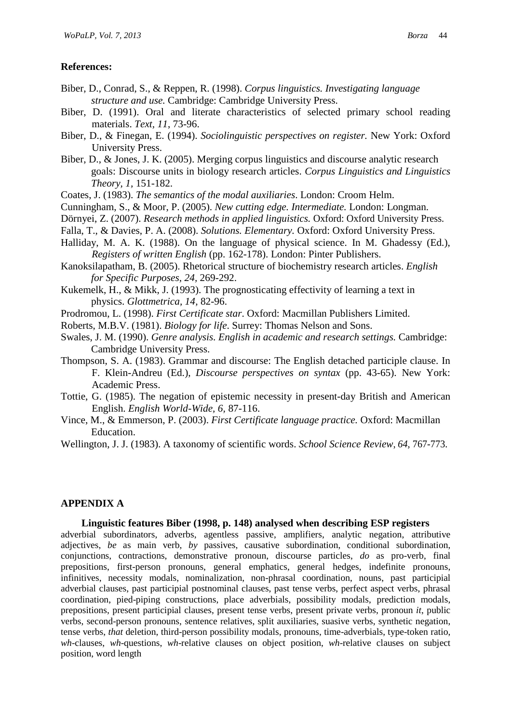#### **References:**

- Biber, D., Conrad, S., & Reppen, R. (1998). *Corpus linguistics. Investigating language structure and use.* Cambridge: Cambridge University Press.
- Biber, D. (1991). Oral and literate characteristics of selected primary school reading materials. *Text, 11*, 73-96.
- Biber, D., & Finegan, E. (1994). *Sociolinguistic perspectives on register.* New York: Oxford University Press.
- Biber, D., & Jones, J. K. (2005). Merging corpus linguistics and discourse analytic research goals: Discourse units in biology research articles. *Corpus Linguistics and Linguistics Theory, 1,* 151-182.
- Coates, J. (1983). *The semantics of the modal auxiliaries*. London: Croom Helm.
- Cunningham, S., & Moor, P. (2005). *New cutting edge. Intermediate.* London: Longman.
- Dörnyei, Z. (2007). *Research methods in applied linguistics.* Oxford: Oxford University Press.
- Falla, T., & Davies, P. A. (2008). *Solutions. Elementary.* Oxford: Oxford University Press.
- Halliday, M. A. K. (1988). On the language of physical science. In M. Ghadessy (Ed.), *Registers of written English* (pp. 162-178). London: Pinter Publishers.
- Kanoksilapatham, B. (2005). Rhetorical structure of biochemistry research articles. *English for Specific Purposes, 24,* 269-292.
- Kukemelk, H., & Mikk, J. (1993). The prognosticating effectivity of learning a text in physics. *Glottmetrica, 14,* 82-96.
- Prodromou, L. (1998). *First Certificate star*. Oxford: Macmillan Publishers Limited.
- Roberts, M.B.V. (1981). *Biology for life*. Surrey: Thomas Nelson and Sons.
- Swales, J. M. (1990). *Genre analysis. English in academic and research settings.* Cambridge: Cambridge University Press.
- Thompson, S. A. (1983). Grammar and discourse: The English detached participle clause. In F. Klein-Andreu (Ed.), *Discourse perspectives on syntax* (pp. 43-65). New York: Academic Press.
- Tottie, G. (1985). The negation of epistemic necessity in present-day British and American English. *English World-Wide, 6,* 87-116.
- Vince, M., & Emmerson, P. (2003). *First Certificate language practice.* Oxford: Macmillan Education.
- Wellington, J. J. (1983). A taxonomy of scientific words. *School Science Review*, *64,* 767-773.

#### **APPENDIX A**

## **Linguistic features Biber (1998, p. 148) analysed when describing ESP registers**

adverbial subordinators, adverbs, agentless passive, amplifiers, analytic negation, attributive adjectives, *be* as main verb, *by* passives, causative subordination, conditional subordination, conjunctions, contractions, demonstrative pronoun, discourse particles, *do* as pro-verb, final prepositions, first-person pronouns, general emphatics, general hedges, indefinite pronouns, infinitives, necessity modals, nominalization, non-phrasal coordination, nouns, past participial adverbial clauses, past participial postnominal clauses, past tense verbs, perfect aspect verbs, phrasal coordination, pied-piping constructions, place adverbials, possibility modals, prediction modals, prepositions, present participial clauses, present tense verbs, present private verbs, pronoun *it*, public verbs, second-person pronouns, sentence relatives, split auxiliaries, suasive verbs, synthetic negation, tense verbs, *that* deletion, third-person possibility modals, pronouns, time-adverbials, type-token ratio, *wh*-clauses, *wh*-questions, *wh*-relative clauses on object position, *wh*-relative clauses on subject position, word length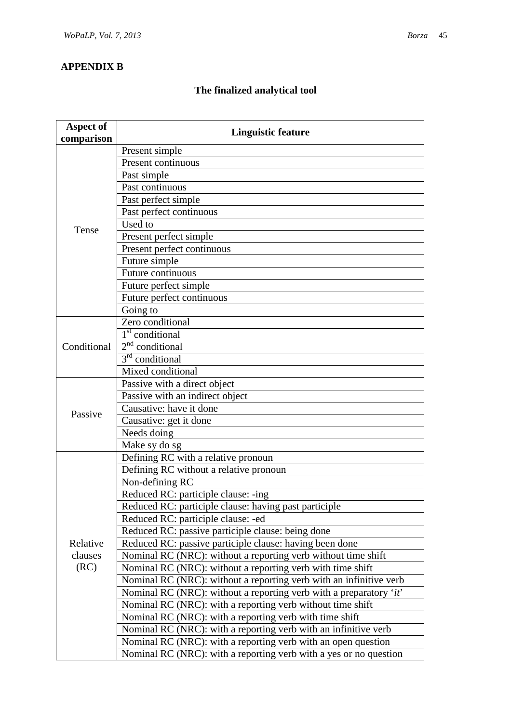## **APPENDIX B**

## **The finalized analytical tool**

| Aspect of<br>comparison | <b>Linguistic feature</b>                                          |  |  |
|-------------------------|--------------------------------------------------------------------|--|--|
|                         | Present simple                                                     |  |  |
|                         | Present continuous                                                 |  |  |
|                         | Past simple                                                        |  |  |
|                         | Past continuous                                                    |  |  |
|                         | Past perfect simple                                                |  |  |
|                         | Past perfect continuous                                            |  |  |
|                         | Used to                                                            |  |  |
| Tense                   | Present perfect simple                                             |  |  |
|                         | Present perfect continuous                                         |  |  |
|                         | Future simple                                                      |  |  |
|                         | Future continuous                                                  |  |  |
|                         | Future perfect simple                                              |  |  |
|                         | Future perfect continuous                                          |  |  |
|                         | Going to                                                           |  |  |
|                         | Zero conditional                                                   |  |  |
|                         | 1 <sup>st</sup> conditional                                        |  |  |
| Conditional             | $2nd$ conditional                                                  |  |  |
|                         | $3rd$ conditional                                                  |  |  |
|                         | Mixed conditional                                                  |  |  |
|                         | Passive with a direct object                                       |  |  |
|                         | Passive with an indirect object                                    |  |  |
|                         | Causative: have it done                                            |  |  |
| Passive                 | Causative: get it done                                             |  |  |
|                         | Needs doing                                                        |  |  |
| Make sy do sg           |                                                                    |  |  |
|                         | Defining RC with a relative pronoun                                |  |  |
|                         | Defining RC without a relative pronoun                             |  |  |
|                         | Non-defining RC                                                    |  |  |
|                         | Reduced RC: participle clause: -ing                                |  |  |
|                         | Reduced RC: participle clause: having past participle              |  |  |
|                         | Reduced RC: participle clause: -ed                                 |  |  |
|                         | Reduced RC: passive participle clause: being done                  |  |  |
| Relative                | Reduced RC: passive participle clause: having been done            |  |  |
| clauses                 | Nominal RC (NRC): without a reporting verb without time shift      |  |  |
| (RC)                    | Nominal RC (NRC): without a reporting verb with time shift         |  |  |
|                         | Nominal RC (NRC): without a reporting verb with an infinitive verb |  |  |
|                         | Nominal RC (NRC): without a reporting verb with a preparatory 'it' |  |  |
|                         | Nominal RC (NRC): with a reporting verb without time shift         |  |  |
|                         | Nominal RC (NRC): with a reporting verb with time shift            |  |  |
|                         | Nominal RC (NRC): with a reporting verb with an infinitive verb    |  |  |
|                         | Nominal RC (NRC): with a reporting verb with an open question      |  |  |
|                         | Nominal RC (NRC): with a reporting verb with a yes or no question  |  |  |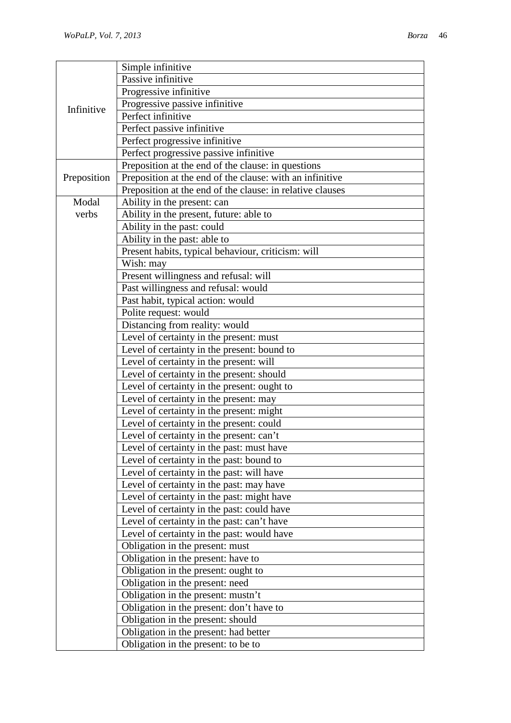|             | Simple infinitive                                         |
|-------------|-----------------------------------------------------------|
|             | Passive infinitive                                        |
|             | Progressive infinitive                                    |
|             | Progressive passive infinitive                            |
| Infinitive  | Perfect infinitive                                        |
|             | Perfect passive infinitive                                |
|             | Perfect progressive infinitive                            |
|             | Perfect progressive passive infinitive                    |
|             | Preposition at the end of the clause: in questions        |
| Preposition | Preposition at the end of the clause: with an infinitive  |
|             | Preposition at the end of the clause: in relative clauses |
| Modal       | Ability in the present: can                               |
| verbs       | Ability in the present, future: able to                   |
|             | Ability in the past: could                                |
|             | Ability in the past: able to                              |
|             | Present habits, typical behaviour, criticism: will        |
|             | Wish: may                                                 |
|             | Present willingness and refusal: will                     |
|             | Past willingness and refusal: would                       |
|             | Past habit, typical action: would                         |
|             | Polite request: would                                     |
|             | Distancing from reality: would                            |
|             | Level of certainty in the present: must                   |
|             | Level of certainty in the present: bound to               |
|             | Level of certainty in the present: will                   |
|             | Level of certainty in the present: should                 |
|             | Level of certainty in the present: ought to               |
|             | Level of certainty in the present: may                    |
|             | Level of certainty in the present: might                  |
|             | Level of certainty in the present: could                  |
|             | Level of certainty in the present: can't                  |
|             | Level of certainty in the past: must have                 |
|             | Level of certainty in the past: bound to                  |
|             | Level of certainty in the past: will have                 |
|             | Level of certainty in the past: may have                  |
|             | Level of certainty in the past: might have                |
|             | Level of certainty in the past: could have                |
|             | Level of certainty in the past: can't have                |
|             | Level of certainty in the past: would have                |
|             | Obligation in the present: must                           |
|             | Obligation in the present: have to                        |
|             | Obligation in the present: ought to                       |
|             | Obligation in the present: need                           |
|             | Obligation in the present: mustn't                        |
|             | Obligation in the present: don't have to                  |
|             | Obligation in the present: should                         |
|             | Obligation in the present: had better                     |
|             | Obligation in the present: to be to                       |
|             |                                                           |